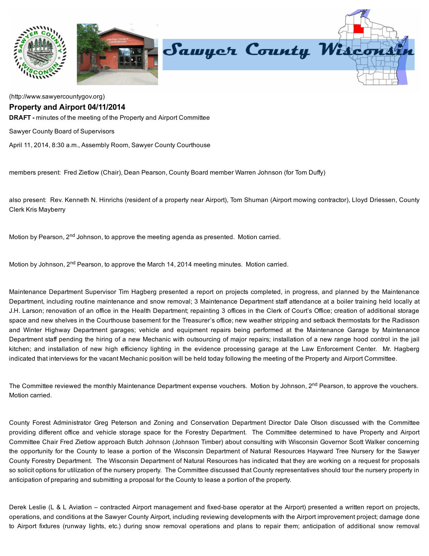

## [\(http://www.sawyercountygov.org\)](http://www.sawyercountygov.org/)

## Property and Airport 04/11/2014

DRAFT - minutes of the meeting of the Property and Airport Committee

Sawyer County Board of Supervisors

April 11, 2014, 8:30 a.m., Assembly Room, Sawyer County Courthouse

members present: Fred Zietlow (Chair), Dean Pearson, County Board member Warren Johnson (for Tom Duffy)

also present: Rev. Kenneth N. Hinrichs (resident of a property near Airport), Tom Shuman (Airport mowing contractor), Lloyd Driessen, County Clerk Kris Mayberry

Motion by Pearson, 2<sup>nd</sup> Johnson, to approve the meeting agenda as presented. Motion carried.

Motion by Johnson, 2<sup>nd</sup> Pearson, to approve the March 14, 2014 meeting minutes. Motion carried.

Maintenance Department Supervisor Tim Hagberg presented a report on projects completed, in progress, and planned by the Maintenance Department, including routine maintenance and snow removal; 3 Maintenance Department staff attendance at a boiler training held locally at J.H. Larson; renovation of an office in the Health Department; repainting 3 offices in the Clerk of Court's Office; creation of additional storage space and new shelves in the Courthouse basement for the Treasurer's office; new weather stripping and setback thermostats for the Radisson and Winter Highway Department garages; vehicle and equipment repairs being performed at the Maintenance Garage by Maintenance Department staff pending the hiring of a new Mechanic with outsourcing of major repairs; installation of a new range hood control in the jail kitchen; and installation of new high efficiency lighting in the evidence processing garage at the Law Enforcement Center. Mr. Hagberg indicated that interviews for the vacant Mechanic position will be held today following the meeting of the Property and Airport Committee.

The Committee reviewed the monthly Maintenance Department expense vouchers. Motion by Johnson, 2<sup>nd</sup> Pearson, to approve the vouchers. Motion carried.

County Forest Administrator Greg Peterson and Zoning and Conservation Department Director Dale Olson discussed with the Committee providing different office and vehicle storage space for the Forestry Department. The Committee determined to have Property and Airport Committee Chair Fred Zietlow approach Butch Johnson (Johnson Timber) about consulting with Wisconsin Governor Scott Walker concerning the opportunity for the County to lease a portion of the Wisconsin Department of Natural Resources Hayward Tree Nursery for the Sawyer County Forestry Department. The Wisconsin Department of Natural Resources has indicated that they are working on a request for proposals so solicit options for utilization of the nursery property. The Committee discussed that County representatives should tour the nursery property in anticipation of preparing and submitting a proposal for the County to lease a portion of the property.

Derek Leslie (L & L Aviation – contracted Airport management and fixed-base operator at the Airport) presented a written report on projects, operations, and conditions at the Sawyer County Airport, including reviewing developments with the Airport improvement project; damage done to Airport fixtures (runway lights, etc.) during snow removal operations and plans to repair them; anticipation of additional snow removal